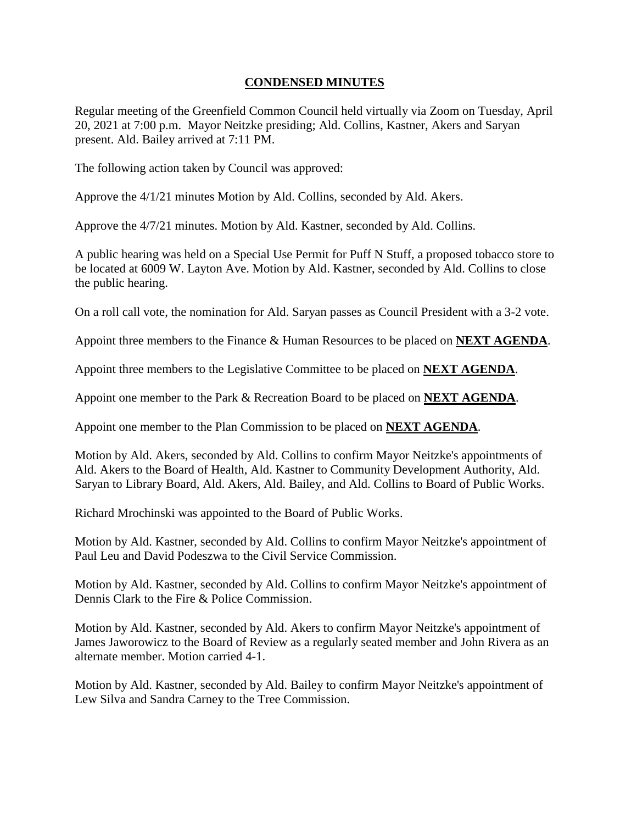## **CONDENSED MINUTES**

Regular meeting of the Greenfield Common Council held virtually via Zoom on Tuesday, April 20, 2021 at 7:00 p.m. Mayor Neitzke presiding; Ald. Collins, Kastner, Akers and Saryan present. Ald. Bailey arrived at 7:11 PM.

The following action taken by Council was approved:

Approve the 4/1/21 minutes Motion by Ald. Collins, seconded by Ald. Akers.

Approve the 4/7/21 minutes. Motion by Ald. Kastner, seconded by Ald. Collins.

A public hearing was held on a Special Use Permit for Puff N Stuff, a proposed tobacco store to be located at 6009 W. Layton Ave. Motion by Ald. Kastner, seconded by Ald. Collins to close the public hearing.

On a roll call vote, the nomination for Ald. Saryan passes as Council President with a 3-2 vote.

Appoint three members to the Finance & Human Resources to be placed on **NEXT AGENDA**.

Appoint three members to the Legislative Committee to be placed on **NEXT AGENDA**.

Appoint one member to the Park & Recreation Board to be placed on **NEXT AGENDA**.

Appoint one member to the Plan Commission to be placed on **NEXT AGENDA**.

Motion by Ald. Akers, seconded by Ald. Collins to confirm Mayor Neitzke's appointments of Ald. Akers to the Board of Health, Ald. Kastner to Community Development Authority, Ald. Saryan to Library Board, Ald. Akers, Ald. Bailey, and Ald. Collins to Board of Public Works.

Richard Mrochinski was appointed to the Board of Public Works.

Motion by Ald. Kastner, seconded by Ald. Collins to confirm Mayor Neitzke's appointment of Paul Leu and David Podeszwa to the Civil Service Commission.

Motion by Ald. Kastner, seconded by Ald. Collins to confirm Mayor Neitzke's appointment of Dennis Clark to the Fire & Police Commission.

Motion by Ald. Kastner, seconded by Ald. Akers to confirm Mayor Neitzke's appointment of James Jaworowicz to the Board of Review as a regularly seated member and John Rivera as an alternate member. Motion carried 4-1.

Motion by Ald. Kastner, seconded by Ald. Bailey to confirm Mayor Neitzke's appointment of Lew Silva and Sandra Carney to the Tree Commission.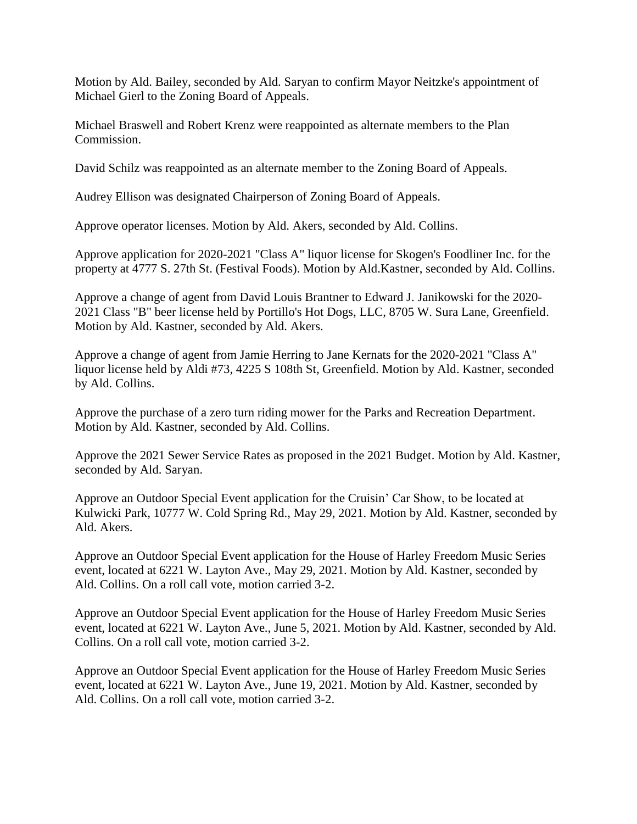Motion by Ald. Bailey, seconded by Ald. Saryan to confirm Mayor Neitzke's appointment of Michael Gierl to the Zoning Board of Appeals.

Michael Braswell and Robert Krenz were reappointed as alternate members to the Plan Commission.

David Schilz was reappointed as an alternate member to the Zoning Board of Appeals.

Audrey Ellison was designated Chairperson of Zoning Board of Appeals.

Approve operator licenses. Motion by Ald. Akers, seconded by Ald. Collins.

Approve application for 2020-2021 "Class A" liquor license for Skogen's Foodliner Inc. for the property at 4777 S. 27th St. (Festival Foods). Motion by Ald.Kastner, seconded by Ald. Collins.

Approve a change of agent from David Louis Brantner to Edward J. Janikowski for the 2020- 2021 Class "B" beer license held by Portillo's Hot Dogs, LLC, 8705 W. Sura Lane, Greenfield. Motion by Ald. Kastner, seconded by Ald. Akers.

Approve a change of agent from Jamie Herring to Jane Kernats for the 2020-2021 "Class A" liquor license held by Aldi #73, 4225 S 108th St, Greenfield. Motion by Ald. Kastner, seconded by Ald. Collins.

Approve the purchase of a zero turn riding mower for the Parks and Recreation Department. Motion by Ald. Kastner, seconded by Ald. Collins.

Approve the 2021 Sewer Service Rates as proposed in the 2021 Budget. Motion by Ald. Kastner, seconded by Ald. Saryan.

Approve an Outdoor Special Event application for the Cruisin' Car Show, to be located at Kulwicki Park, 10777 W. Cold Spring Rd., May 29, 2021. Motion by Ald. Kastner, seconded by Ald. Akers.

Approve an Outdoor Special Event application for the House of Harley Freedom Music Series event, located at 6221 W. Layton Ave., May 29, 2021. Motion by Ald. Kastner, seconded by Ald. Collins. On a roll call vote, motion carried 3-2.

Approve an Outdoor Special Event application for the House of Harley Freedom Music Series event, located at 6221 W. Layton Ave., June 5, 2021. Motion by Ald. Kastner, seconded by Ald. Collins. On a roll call vote, motion carried 3-2.

Approve an Outdoor Special Event application for the House of Harley Freedom Music Series event, located at 6221 W. Layton Ave., June 19, 2021. Motion by Ald. Kastner, seconded by Ald. Collins. On a roll call vote, motion carried 3-2.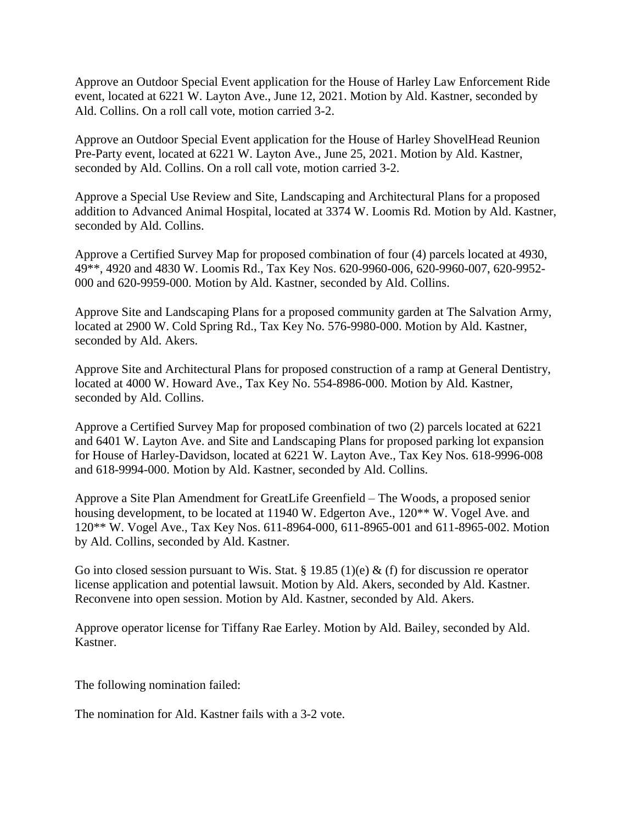Approve an Outdoor Special Event application for the House of Harley Law Enforcement Ride event, located at 6221 W. Layton Ave., June 12, 2021. Motion by Ald. Kastner, seconded by Ald. Collins. On a roll call vote, motion carried 3-2.

Approve an Outdoor Special Event application for the House of Harley ShovelHead Reunion Pre-Party event, located at 6221 W. Layton Ave., June 25, 2021. Motion by Ald. Kastner, seconded by Ald. Collins. On a roll call vote, motion carried 3-2.

Approve a Special Use Review and Site, Landscaping and Architectural Plans for a proposed addition to Advanced Animal Hospital, located at 3374 W. Loomis Rd. Motion by Ald. Kastner, seconded by Ald. Collins.

Approve a Certified Survey Map for proposed combination of four (4) parcels located at 4930, 49\*\*, 4920 and 4830 W. Loomis Rd., Tax Key Nos. 620-9960-006, 620-9960-007, 620-9952- 000 and 620-9959-000. Motion by Ald. Kastner, seconded by Ald. Collins.

Approve Site and Landscaping Plans for a proposed community garden at The Salvation Army, located at 2900 W. Cold Spring Rd., Tax Key No. 576-9980-000. Motion by Ald. Kastner, seconded by Ald. Akers.

Approve Site and Architectural Plans for proposed construction of a ramp at General Dentistry, located at 4000 W. Howard Ave., Tax Key No. 554-8986-000. Motion by Ald. Kastner, seconded by Ald. Collins.

Approve a Certified Survey Map for proposed combination of two (2) parcels located at 6221 and 6401 W. Layton Ave. and Site and Landscaping Plans for proposed parking lot expansion for House of Harley-Davidson, located at 6221 W. Layton Ave., Tax Key Nos. 618-9996-008 and 618-9994-000. Motion by Ald. Kastner, seconded by Ald. Collins.

Approve a Site Plan Amendment for GreatLife Greenfield – The Woods, a proposed senior housing development, to be located at 11940 W. Edgerton Ave., 120<sup>\*\*</sup> W. Vogel Ave. and 120\*\* W. Vogel Ave., Tax Key Nos. 611-8964-000, 611-8965-001 and 611-8965-002. Motion by Ald. Collins, seconded by Ald. Kastner.

Go into closed session pursuant to Wis. Stat. § 19.85 (1)(e) & (f) for discussion re operator license application and potential lawsuit. Motion by Ald. Akers, seconded by Ald. Kastner. Reconvene into open session. Motion by Ald. Kastner, seconded by Ald. Akers.

Approve operator license for Tiffany Rae Earley. Motion by Ald. Bailey, seconded by Ald. Kastner.

The following nomination failed:

The nomination for Ald. Kastner fails with a 3-2 vote.